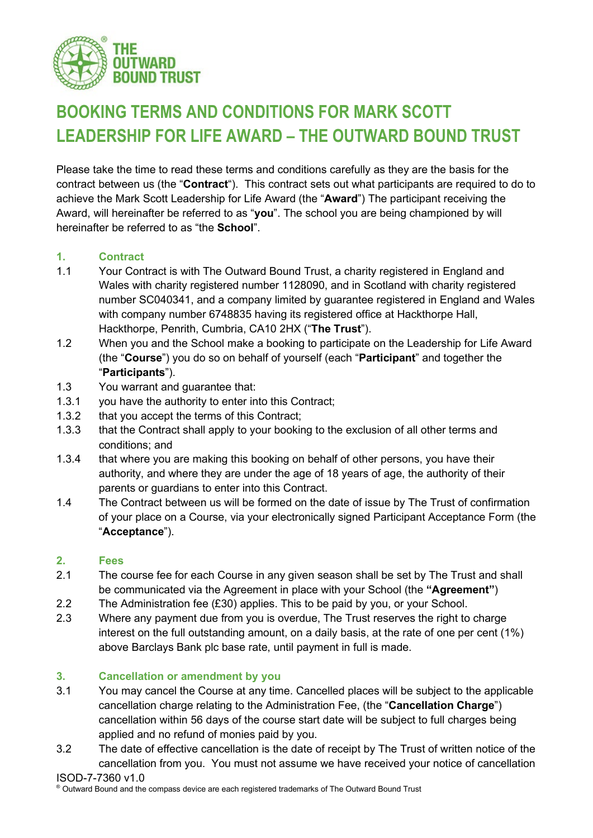

# **BOOKING TERMS AND CONDITIONS FOR MARK SCOTT LEADERSHIP FOR LIFE AWARD – THE OUTWARD BOUND TRUST**

Please take the time to read these terms and conditions carefully as they are the basis for the contract between us (the "**Contract**"). This contract sets out what participants are required to do to achieve the Mark Scott Leadership for Life Award (the "**Award**") The participant receiving the Award, will hereinafter be referred to as "**you**". The school you are being championed by will hereinafter be referred to as "the **School**".

# **1. Contract**

- 1.1 Your Contract is with The Outward Bound Trust, a charity registered in England and Wales with charity registered number 1128090, and in Scotland with charity registered number SC040341, and a company limited by guarantee registered in England and Wales with company number 6748835 having its registered office at Hackthorpe Hall, Hackthorpe, Penrith, Cumbria, CA10 2HX ("**The Trust**").
- 1.2 When you and the School make a booking to participate on the Leadership for Life Award (the "**Course**") you do so on behalf of yourself (each "**Participant**" and together the "**Participants**").
- 1.3 You warrant and guarantee that:
- 1.3.1 you have the authority to enter into this Contract;
- 1.3.2 that you accept the terms of this Contract;
- 1.3.3 that the Contract shall apply to your booking to the exclusion of all other terms and conditions; and
- 1.3.4 that where you are making this booking on behalf of other persons, you have their authority, and where they are under the age of 18 years of age, the authority of their parents or guardians to enter into this Contract.
- 1.4 The Contract between us will be formed on the date of issue by The Trust of confirmation of your place on a Course, via your electronically signed Participant Acceptance Form (the "**Acceptance**").

# **2. Fees**

- 2.1 The course fee for each Course in any given season shall be set by The Trust and shall be communicated via the Agreement in place with your School (the **"Agreement"**)
- 2.2 The Administration fee (£30) applies. This to be paid by you, or your School.
- 2.3 Where any payment due from you is overdue, The Trust reserves the right to charge interest on the full outstanding amount, on a daily basis, at the rate of one per cent (1%) above Barclays Bank plc base rate, until payment in full is made.

# <span id="page-0-0"></span>**3. Cancellation or amendment by you**

- 3.1 You may cancel the Course at any time. Cancelled places will be subject to the applicable cancellation charge relating to the Administration Fee, (the "**Cancellation Charge**") cancellation within 56 days of the course start date will be subject to full charges being applied and no refund of monies paid by you.
- 3.2 The date of effective cancellation is the date of receipt by The Trust of written notice of the cancellation from you. You must not assume we have received your notice of cancellation

### ISOD-7-7360 v1.0

® Outward Bound and the compass device are each registered trademarks of The Outward Bound Trust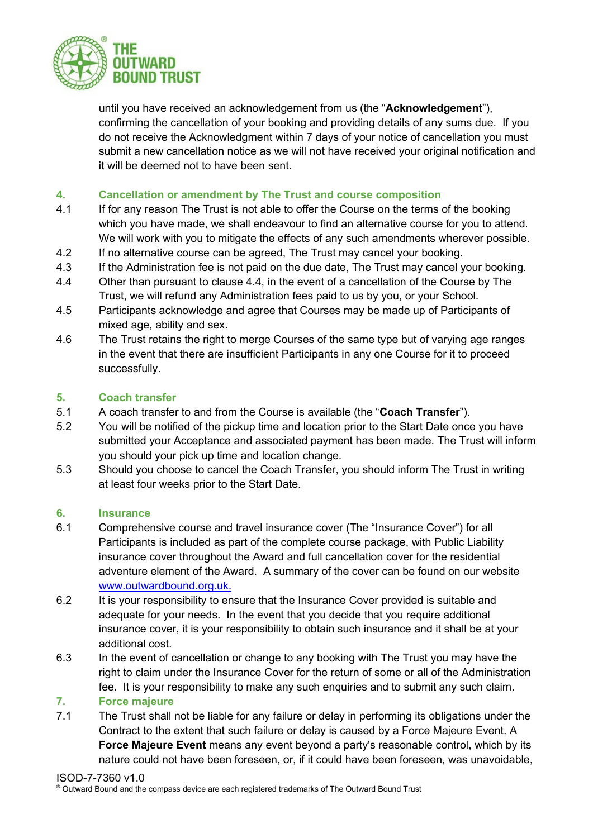

until you have received an acknowledgement from us (the "**Acknowledgement**"), confirming the cancellation of your booking and providing details of any sums due. If you do not receive the Acknowledgment within 7 days of your notice of cancellation you must submit a new cancellation notice as we will not have received your original notification and it will be deemed not to have been sent.

# **4. Cancellation or amendment by The Trust and course composition**

- 4.1 If for any reason The Trust is not able to offer the Course on the terms of the booking which you have made, we shall endeavour to find an alternative course for you to attend. We will work with you to mitigate the effects of any such amendments wherever possible.
- 4.2 If no alternative course can be agreed, The Trust may cancel your booking.
- 4.3 If the Administration fee is not paid on the due date, The Trust may cancel your booking.
- 4.4 Other than pursuant to clause 4.4, in the event of a cancellation of the Course by The Trust, we will refund any Administration fees paid to us by you, or your School.
- 4.5 Participants acknowledge and agree that Courses may be made up of Participants of mixed age, ability and sex.
- 4.6 The Trust retains the right to merge Courses of the same type but of varying age ranges in the event that there are insufficient Participants in any one Course for it to proceed successfully.

# **5. Coach transfer**

- 5.1 A coach transfer to and from the Course is available (the "**Coach Transfer**").
- 5.2 You will be notified of the pickup time and location prior to the Start Date once you have submitted your Acceptance and associated payment has been made. The Trust will inform you should your pick up time and location change.
- 5.3 Should you choose to cancel the Coach Transfer, you should inform The Trust in writing at least four weeks prior to the Start Date.

### **6. Insurance**

- 6.1 Comprehensive course and travel insurance cover (The "Insurance Cover") for all Participants is included as part of the complete course package, with Public Liability insurance cover throughout the Award and full cancellation cover for the residential adventure element of the Award. A summary of the cover can be found on our website [www.outwardbound.org.uk.](http://www.outwardbound.org.uk./)
- 6.2 It is your responsibility to ensure that the Insurance Cover provided is suitable and adequate for your needs. In the event that you decide that you require additional insurance cover, it is your responsibility to obtain such insurance and it shall be at your additional cost.
- 6.3 In the event of cancellation or change to any booking with The Trust you may have the right to claim under the Insurance Cover for the return of some or all of the Administration fee. It is your responsibility to make any such enquiries and to submit any such claim.

### **7. Force majeure**

7.1 The Trust shall not be liable for any failure or delay in performing its obligations under the Contract to the extent that such failure or delay is caused by a Force Majeure Event. A **Force Majeure Event** means any event beyond a party's reasonable control, which by its nature could not have been foreseen, or, if it could have been foreseen, was unavoidable,

ISOD-7-7360 v1.0<br>© Outward Bound and the compass device are each registered trademarks of The Outward Bound Trust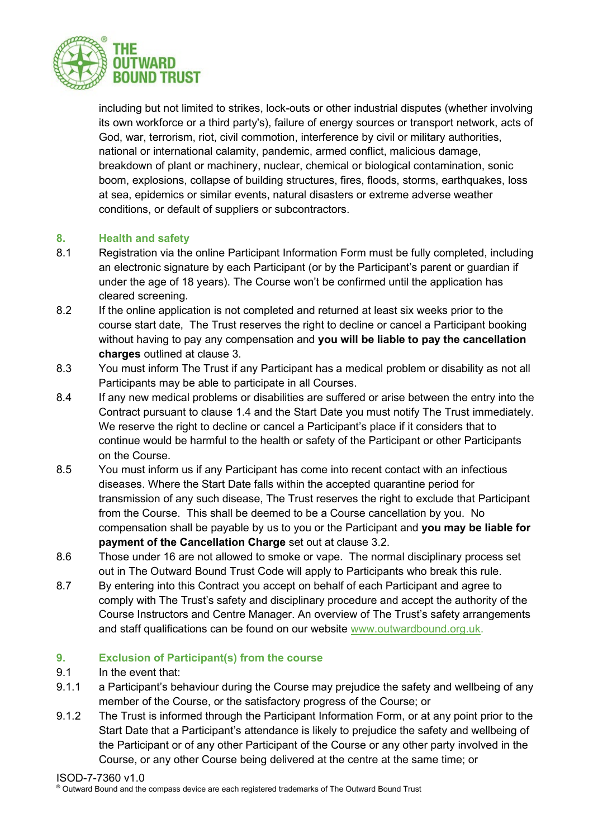

including but not limited to strikes, lock-outs or other industrial disputes (whether involving its own workforce or a third party's), failure of energy sources or transport network, acts of God, war, terrorism, riot, civil commotion, interference by civil or military authorities, national or international calamity, pandemic, armed conflict, malicious damage, breakdown of plant or machinery, nuclear, chemical or biological contamination, sonic boom, explosions, collapse of building structures, fires, floods, storms, earthquakes, loss at sea, epidemics or similar events, natural disasters or extreme adverse weather conditions, or default of suppliers or subcontractors.

# **8. Health and safety**

- 8.1 Registration via the online Participant Information Form must be fully completed, including an electronic signature by each Participant (or by the Participant's parent or guardian if under the age of 18 years). The Course won't be confirmed until the application has cleared screening.
- 8.2 If the online application is not completed and returned at least six weeks prior to the course start date, The Trust reserves the right to decline or cancel a Participant booking without having to pay any compensation and **you will be liable to pay the cancellation charges** outlined at clause [3.](#page-0-0)
- 8.3 You must inform The Trust if any Participant has a medical problem or disability as not all Participants may be able to participate in all Courses.
- 8.4 If any new medical problems or disabilities are suffered or arise between the entry into the Contract pursuant to clause 1.4 and the Start Date you must notify The Trust immediately. We reserve the right to decline or cancel a Participant's place if it considers that to continue would be harmful to the health or safety of the Participant or other Participants on the Course.
- 8.5 You must inform us if any Participant has come into recent contact with an infectious diseases. Where the Start Date falls within the accepted quarantine period for transmission of any such disease, The Trust reserves the right to exclude that Participant from the Course. This shall be deemed to be a Course cancellation by you. No compensation shall be payable by us to you or the Participant and **you may be liable for payment of the Cancellation Charge** set out at clause 3.2.
- 8.6 Those under 16 are not allowed to smoke or vape. The normal disciplinary process set out in The Outward Bound Trust Code will apply to Participants who break this rule.
- 8.7 By entering into this Contract you accept on behalf of each Participant and agree to comply with The Trust's safety and disciplinary procedure and accept the authority of the Course Instructors and Centre Manager. An overview of The Trust's safety arrangements and staff qualifications can be found on our website [www.outwardbound.org.uk.](http://www.outwardbound.org.uk/)

### **9. Exclusion of Participant(s) from the course**

- 9.1 In the event that:
- 9.1.1 a Participant's behaviour during the Course may prejudice the safety and wellbeing of any member of the Course, or the satisfactory progress of the Course; or
- 9.1.2 The Trust is informed through the Participant Information Form, or at any point prior to the Start Date that a Participant's attendance is likely to prejudice the safety and wellbeing of the Participant or of any other Participant of the Course or any other party involved in the Course, or any other Course being delivered at the centre at the same time; or

ISOD-7-7360 v1.0<br>© Outward Bound and the compass device are each registered trademarks of The Outward Bound Trust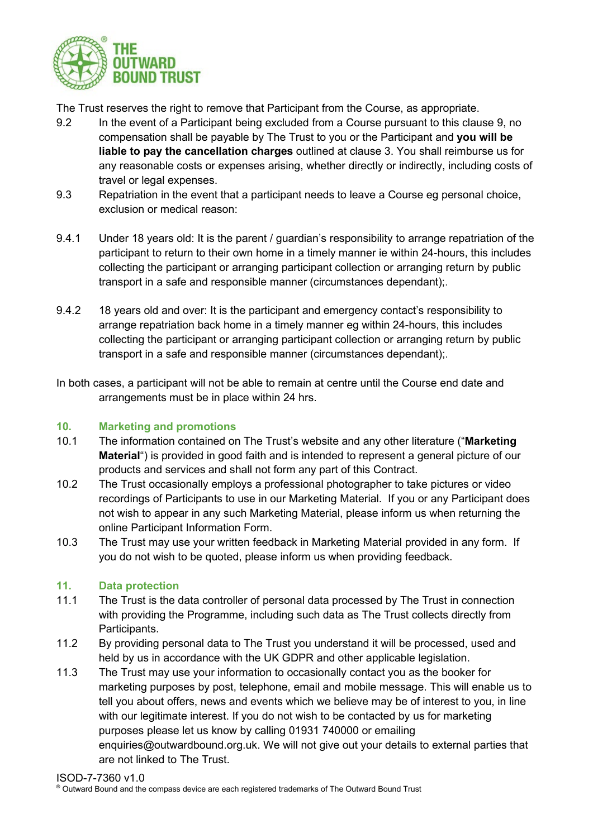

The Trust reserves the right to remove that Participant from the Course, as appropriate.

- 9.2 In the event of a Participant being excluded from a Course pursuant to this clause 9, no compensation shall be payable by The Trust to you or the Participant and **you will be liable to pay the cancellation charges** outlined at clause 3. You shall reimburse us for any reasonable costs or expenses arising, whether directly or indirectly, including costs of travel or legal expenses.
- 9.3 Repatriation in the event that a participant needs to leave a Course eg personal choice, exclusion or medical reason:
- 9.4.1 Under 18 years old: It is the parent / guardian's responsibility to arrange repatriation of the participant to return to their own home in a timely manner ie within 24-hours, this includes collecting the participant or arranging participant collection or arranging return by public transport in a safe and responsible manner (circumstances dependant);.
- 9.4.2 18 years old and over: It is the participant and emergency contact's responsibility to arrange repatriation back home in a timely manner eg within 24-hours, this includes collecting the participant or arranging participant collection or arranging return by public transport in a safe and responsible manner (circumstances dependant);.
- In both cases, a participant will not be able to remain at centre until the Course end date and arrangements must be in place within 24 hrs.

# **10. Marketing and promotions**

- 10.1 The information contained on The Trust's website and any other literature ("**Marketing Material**") is provided in good faith and is intended to represent a general picture of our products and services and shall not form any part of this Contract.
- 10.2 The Trust occasionally employs a professional photographer to take pictures or video recordings of Participants to use in our Marketing Material. If you or any Participant does not wish to appear in any such Marketing Material, please inform us when returning the online Participant Information Form.
- 10.3 The Trust may use your written feedback in Marketing Material provided in any form. If you do not wish to be quoted, please inform us when providing feedback.

### **11. Data protection**

- 11.1 The Trust is the data controller of personal data processed by The Trust in connection with providing the Programme, including such data as The Trust collects directly from Participants.
- 11.2 By providing personal data to The Trust you understand it will be processed, used and held by us in accordance with the UK GDPR and other applicable legislation.
- 11.3 The Trust may use your information to occasionally contact you as the booker for marketing purposes by post, telephone, email and mobile message. This will enable us to tell you about offers, news and events which we believe may be of interest to you, in line with our legitimate interest. If you do not wish to be contacted by us for marketing purposes please let us know by calling 01931 740000 or emailing enquiries@outwardbound.org.uk. We will not give out your details to external parties that are not linked to The Trust.

### ISOD-7-7360 v1.0

® Outward Bound and the compass device are each registered trademarks of The Outward Bound Trust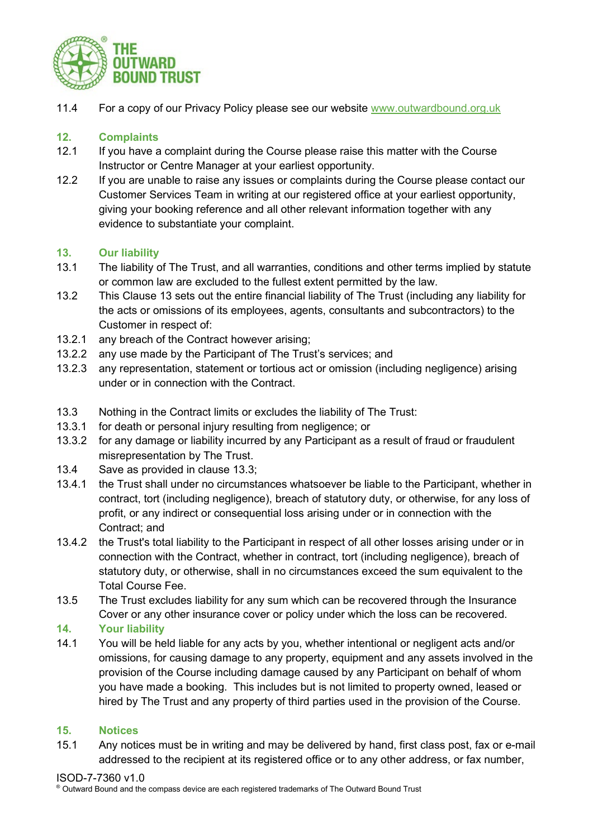

11.4 For a copy of our Privacy Policy please see our website [www.outwardbound.org.uk](http://www.outwardbound.org.uk/)

# **12. Complaints**

- 12.1 If you have a complaint during the Course please raise this matter with the Course Instructor or Centre Manager at your earliest opportunity.
- 12.2 If you are unable to raise any issues or complaints during the Course please contact our Customer Services Team in writing at our registered office at your earliest opportunity, giving your booking reference and all other relevant information together with any evidence to substantiate your complaint.

# <span id="page-4-0"></span>**13. Our liability**

- 13.1 The liability of The Trust, and all warranties, conditions and other terms implied by statute or common law are excluded to the fullest extent permitted by the law.
- 13.2 This Clause [13](#page-4-0) sets out the entire financial liability of The Trust (including any liability for the acts or omissions of its employees, agents, consultants and subcontractors) to the Customer in respect of:
- 13.2.1 any breach of the Contract however arising;
- 13.2.2 any use made by the Participant of The Trust's services; and
- 13.2.3 any representation, statement or tortious act or omission (including negligence) arising under or in connection with the Contract.
- 13.3 Nothing in the Contract limits or excludes the liability of The Trust:
- 13.3.1 for death or personal injury resulting from negligence; or
- 13.3.2 for any damage or liability incurred by any Participant as a result of fraud or fraudulent misrepresentation by The Trust.
- 13.4 Save as provided in clause 13.3;
- 13.4.1 the Trust shall under no circumstances whatsoever be liable to the Participant, whether in contract, tort (including negligence), breach of statutory duty, or otherwise, for any loss of profit, or any indirect or consequential loss arising under or in connection with the Contract; and
- 13.4.2 the Trust's total liability to the Participant in respect of all other losses arising under or in connection with the Contract, whether in contract, tort (including negligence), breach of statutory duty, or otherwise, shall in no circumstances exceed the sum equivalent to the Total Course Fee.
- 13.5 The Trust excludes liability for any sum which can be recovered through the Insurance Cover or any other insurance cover or policy under which the loss can be recovered.

# **14. Your liability**

14.1 You will be held liable for any acts by you, whether intentional or negligent acts and/or omissions, for causing damage to any property, equipment and any assets involved in the provision of the Course including damage caused by any Participant on behalf of whom you have made a booking. This includes but is not limited to property owned, leased or hired by The Trust and any property of third parties used in the provision of the Course.

### **15. Notices**

15.1 Any notices must be in writing and may be delivered by hand, first class post, fax or e-mail addressed to the recipient at its registered office or to any other address, or fax number,